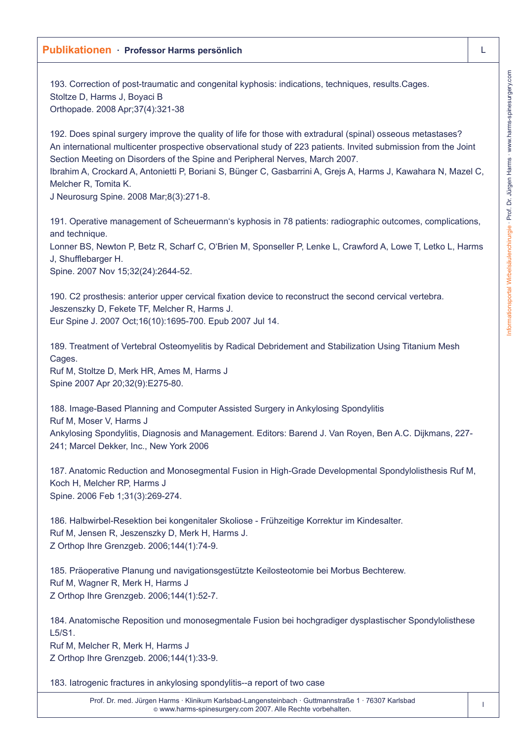193. Correction of post-traumatic and congenital kyphosis: indications, techniques, results.Cages. Stoltze D, Harms J, Boyaci B Orthopade. 2008 Apr;37(4):321-38

192. Does spinal surgery improve the quality of life for those with extradural (spinal) osseous metastases? An international multicenter prospective observational study of 223 patients. Invited submission from the Joint Section Meeting on Disorders of the Spine and Peripheral Nerves, March 2007.

Ibrahim A, Crockard A, Antonietti P, Boriani S, Bünger C, Gasbarrini A, Grejs A, Harms J, Kawahara N, Mazel C, Melcher R, Tomita K.

J Neurosurg Spine. 2008 Mar;8(3):271-8.

191. Operative management of Scheuermann's kyphosis in 78 patients: radiographic outcomes, complications, and technique.

Lonner BS, Newton P, Betz R, Scharf C, O'Brien M, Sponseller P, Lenke L, Crawford A, Lowe T, Letko L, Harms J, Shufflebarger H.

Spine. 2007 Nov 15;32(24):2644-52.

190. C2 prosthesis: anterior upper cervical fixation device to reconstruct the second cervical vertebra. Jeszenszky D, Fekete TF, Melcher R, Harms J. Eur Spine J. 2007 Oct;16(10):1695-700. Epub 2007 Jul 14.

189. Treatment of Vertebral Osteomyelitis by Radical Debridement and Stabilization Using Titanium Mesh Cages.

Ruf M, Stoltze D, Merk HR, Ames M, Harms J Spine 2007 Apr 20;32(9):E275-80.

188. Image-Based Planning and Computer Assisted Surgery in Ankylosing Spondylitis Ruf M, Moser V, Harms J Ankylosing Spondylitis, Diagnosis and Management. Editors: Barend J. Van Royen, Ben A.C. Dijkmans, 227- 241; Marcel Dekker, Inc., New York 2006

187. Anatomic Reduction and Monosegmental Fusion in High-Grade Developmental Spondylolisthesis Ruf M, Koch H, Melcher RP, Harms J Spine. 2006 Feb 1;31(3):269-274.

186. Halbwirbel-Resektion bei kongenitaler Skoliose - Frühzeitige Korrektur im Kindesalter. Ruf M, Jensen R, Jeszenszky D, Merk H, Harms J. Z Orthop Ihre Grenzgeb. 2006;144(1):74-9.

185. Präoperative Planung und navigationsgestützte Keilosteotomie bei Morbus Bechterew. Ruf M, Wagner R, Merk H, Harms J Z Orthop Ihre Grenzgeb. 2006;144(1):52-7.

184. Anatomische Reposition und monosegmentale Fusion bei hochgradiger dysplastischer Spondylolisthese  $1.5/S1$ Ruf M, Melcher R, Merk H, Harms J

Z Orthop Ihre Grenzgeb. 2006;144(1):33-9.

183. Iatrogenic fractures in ankylosing spondylitis--a report of two case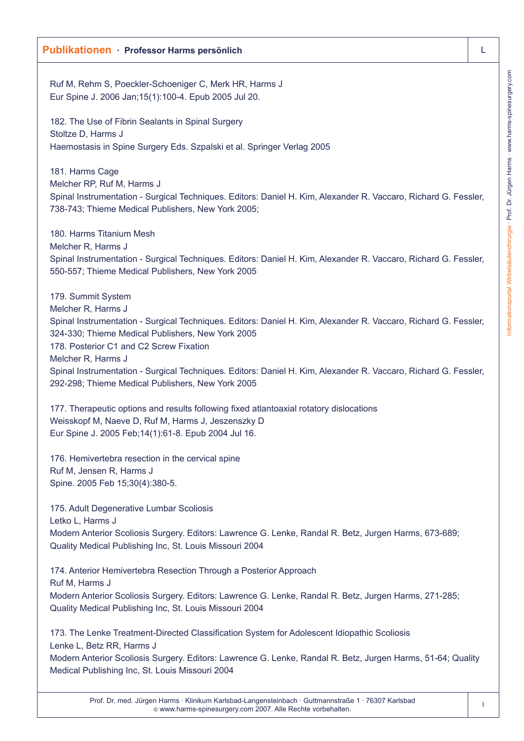Ruf M, Rehm S, Poeckler-Schoeniger C, Merk HR, Harms J Eur Spine J. 2006 Jan;15(1):100-4. Epub 2005 Jul 20.

182. The Use of Fibrin Sealants in Spinal Surgery Stoltze D, Harms J Haemostasis in Spine Surgery Eds. Szpalski et al. Springer Verlag 2005

181. Harms Cage Melcher RP, Ruf M, Harms J Spinal Instrumentation - Surgical Techniques. Editors: Daniel H. Kim, Alexander R. Vaccaro, Richard G. Fessler, 738-743; Thieme Medical Publishers, New York 2005;

180. Harms Titanium Mesh Melcher R, Harms J Spinal Instrumentation - Surgical Techniques. Editors: Daniel H. Kim, Alexander R. Vaccaro, Richard G. Fessler, 550-557; Thieme Medical Publishers, New York 2005

179. Summit System Melcher R, Harms J Spinal Instrumentation - Surgical Techniques. Editors: Daniel H. Kim, Alexander R. Vaccaro, Richard G. Fessler, 324-330; Thieme Medical Publishers, New York 2005 178. Posterior C1 and C2 Screw Fixation Melcher R, Harms J Spinal Instrumentation - Surgical Techniques. Editors: Daniel H. Kim, Alexander R. Vaccaro, Richard G. Fessler, 292-298; Thieme Medical Publishers, New York 2005

177. Therapeutic options and results following fixed atlantoaxial rotatory dislocations Weisskopf M, Naeve D, Ruf M, Harms J, Jeszenszky D Eur Spine J. 2005 Feb;14(1):61-8. Epub 2004 Jul 16.

176. Hemivertebra resection in the cervical spine Ruf M, Jensen R, Harms J Spine. 2005 Feb 15;30(4):380-5.

175. Adult Degenerative Lumbar Scoliosis Letko L, Harms J Modern Anterior Scoliosis Surgery. Editors: Lawrence G. Lenke, Randal R. Betz, Jurgen Harms, 673-689; Quality Medical Publishing Inc, St. Louis Missouri 2004

174. Anterior Hemivertebra Resection Through a Posterior Approach Ruf M, Harms J Modern Anterior Scoliosis Surgery. Editors: Lawrence G. Lenke, Randal R. Betz, Jurgen Harms, 271-285; Quality Medical Publishing Inc, St. Louis Missouri 2004

173. The Lenke Treatment-Directed Classification System for Adolescent Idiopathic Scoliosis Lenke L, Betz RR, Harms J Modern Anterior Scoliosis Surgery. Editors: Lawrence G. Lenke, Randal R. Betz, Jurgen Harms, 51-64; Quality Medical Publishing Inc, St. Louis Missouri 2004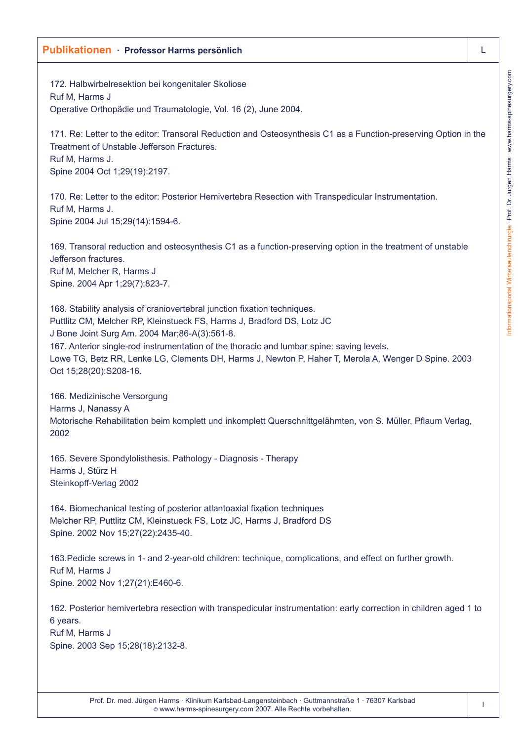172. Halbwirbelresektion bei kongenitaler Skoliose Ruf M, Harms J Operative Orthopädie und Traumatologie, Vol. 16 (2), June 2004.

171. Re: Letter to the editor: Transoral Reduction and Osteosynthesis C1 as a Function-preserving Option in the Treatment of Unstable Jefferson Fractures. Ruf M, Harms J. Spine 2004 Oct 1;29(19):2197.

170. Re: Letter to the editor: Posterior Hemivertebra Resection with Transpedicular Instrumentation. Ruf M, Harms J. Spine 2004 Jul 15;29(14):1594-6.

169. Transoral reduction and osteosynthesis C1 as a function-preserving option in the treatment of unstable Jefferson fractures. Ruf M, Melcher R, Harms J Spine. 2004 Apr 1;29(7):823-7.

168. Stability analysis of craniovertebral junction fixation techniques. Puttlitz CM, Melcher RP, Kleinstueck FS, Harms J, Bradford DS, Lotz JC J Bone Joint Surg Am. 2004 Mar;86-A(3):561-8. 167. Anterior single-rod instrumentation of the thoracic and lumbar spine: saving levels. Lowe TG, Betz RR, Lenke LG, Clements DH, Harms J, Newton P, Haher T, Merola A, Wenger D Spine. 2003 Oct 15;28(20):S208-16.

166. Medizinische Versorgung Harms J, Nanassy A Motorische Rehabilitation beim komplett und inkomplett Querschnittgelähmten, von S. Müller, Pflaum Verlag, 2002

165. Severe Spondylolisthesis. Pathology - Diagnosis - Therapy Harms J, Stürz H Steinkopff-Verlag 2002

164. Biomechanical testing of posterior atlantoaxial fixation techniques Melcher RP, Puttlitz CM, Kleinstueck FS, Lotz JC, Harms J, Bradford DS Spine. 2002 Nov 15;27(22):2435-40.

163.Pedicle screws in 1- and 2-year-old children: technique, complications, and effect on further growth. Ruf M, Harms J Spine. 2002 Nov 1;27(21):E460-6.

162. Posterior hemivertebra resection with transpedicular instrumentation: early correction in children aged 1 to 6 years.

Ruf M, Harms J Spine. 2003 Sep 15;28(18):2132-8.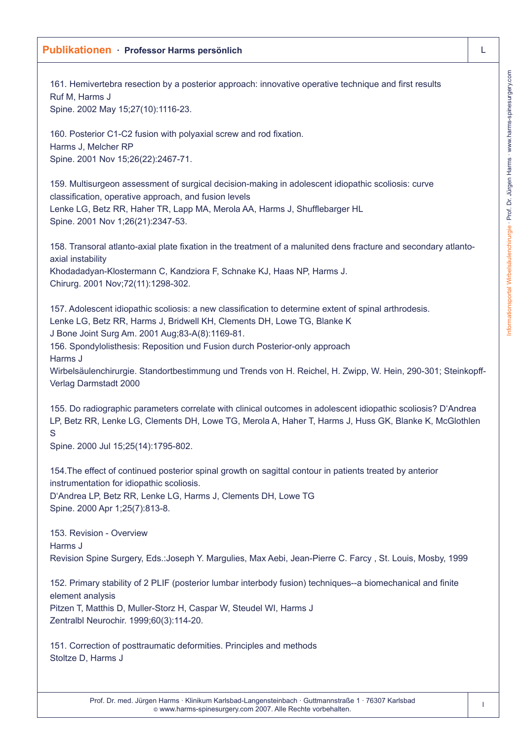161. Hemivertebra resection by a posterior approach: innovative operative technique and first results Ruf M, Harms J Spine. 2002 May 15;27(10):1116-23.

160. Posterior C1-C2 fusion with polyaxial screw and rod fixation. Harms J, Melcher RP Spine. 2001 Nov 15;26(22):2467-71.

159. Multisurgeon assessment of surgical decision-making in adolescent idiopathic scoliosis: curve classification, operative approach, and fusion levels Lenke LG, Betz RR, Haher TR, Lapp MA, Merola AA, Harms J, Shufflebarger HL Spine. 2001 Nov 1;26(21):2347-53.

158. Transoral atlanto-axial plate fixation in the treatment of a malunited dens fracture and secondary atlantoaxial instability

Khodadadyan-Klostermann C, Kandziora F, Schnake KJ, Haas NP, Harms J. Chirurg. 2001 Nov;72(11):1298-302.

157. Adolescent idiopathic scoliosis: a new classification to determine extent of spinal arthrodesis. Lenke LG, Betz RR, Harms J, Bridwell KH, Clements DH, Lowe TG, Blanke K J Bone Joint Surg Am. 2001 Aug;83-A(8):1169-81.

156. Spondylolisthesis: Reposition und Fusion durch Posterior-only approach Harms J

Wirbelsäulenchirurgie. Standortbestimmung und Trends von H. Reichel, H. Zwipp, W. Hein, 290-301; Steinkopff-Verlag Darmstadt 2000

155. Do radiographic parameters correlate with clinical outcomes in adolescent idiopathic scoliosis? D'Andrea LP, Betz RR, Lenke LG, Clements DH, Lowe TG, Merola A, Haher T, Harms J, Huss GK, Blanke K, McGlothlen S

Spine. 2000 Jul 15;25(14):1795-802.

154.The effect of continued posterior spinal growth on sagittal contour in patients treated by anterior instrumentation for idiopathic scoliosis.

D'Andrea LP, Betz RR, Lenke LG, Harms J, Clements DH, Lowe TG Spine. 2000 Apr 1;25(7):813-8.

153. Revision - Overview Harms J Revision Spine Surgery, Eds.:Joseph Y. Margulies, Max Aebi, Jean-Pierre C. Farcy , St. Louis, Mosby, 1999

152. Primary stability of 2 PLIF (posterior lumbar interbody fusion) techniques--a biomechanical and finite element analysis Pitzen T, Matthis D, Muller-Storz H, Caspar W, Steudel WI, Harms J Zentralbl Neurochir. 1999;60(3):114-20.

151. Correction of posttraumatic deformities. Principles and methods Stoltze D, Harms J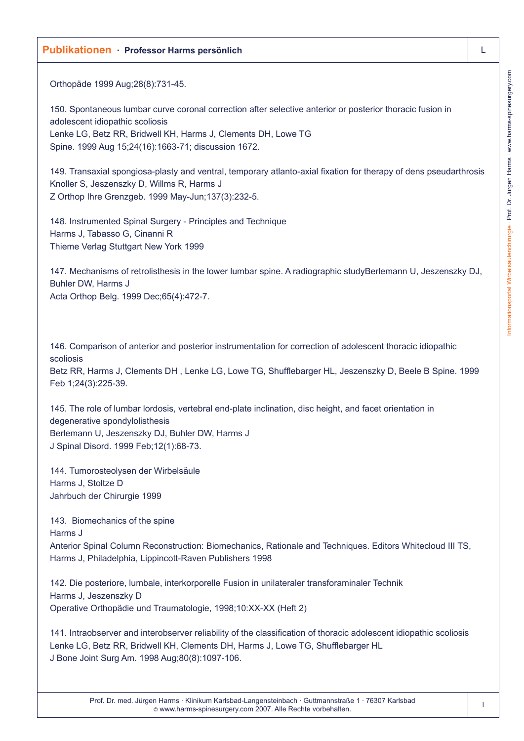Orthopäde 1999 Aug;28(8):731-45.

150. Spontaneous lumbar curve coronal correction after selective anterior or posterior thoracic fusion in adolescent idiopathic scoliosis Lenke LG, Betz RR, Bridwell KH, Harms J, Clements DH, Lowe TG Spine. 1999 Aug 15;24(16):1663-71; discussion 1672.

149. Transaxial spongiosa-plasty and ventral, temporary atlanto-axial fixation for therapy of dens pseudarthrosis Knoller S, Jeszenszky D, Willms R, Harms J Z Orthop Ihre Grenzgeb. 1999 May-Jun;137(3):232-5.

148. Instrumented Spinal Surgery - Principles and Technique Harms J, Tabasso G, Cinanni R Thieme Verlag Stuttgart New York 1999

147. Mechanisms of retrolisthesis in the lower lumbar spine. A radiographic studyBerlemann U, Jeszenszky DJ, Buhler DW, Harms J Acta Orthop Belg. 1999 Dec;65(4):472-7.

146. Comparison of anterior and posterior instrumentation for correction of adolescent thoracic idiopathic scoliosis

Betz RR, Harms J, Clements DH , Lenke LG, Lowe TG, Shufflebarger HL, Jeszenszky D, Beele B Spine. 1999 Feb 1;24(3):225-39.

145. The role of lumbar lordosis, vertebral end-plate inclination, disc height, and facet orientation in degenerative spondylolisthesis Berlemann U, Jeszenszky DJ, Buhler DW, Harms J J Spinal Disord. 1999 Feb;12(1):68-73.

144. Tumorosteolysen der Wirbelsäule Harms J, Stoltze D Jahrbuch der Chirurgie 1999

143. Biomechanics of the spine

Harms J

Anterior Spinal Column Reconstruction: Biomechanics, Rationale and Techniques. Editors Whitecloud III TS, Harms J, Philadelphia, Lippincott-Raven Publishers 1998

142. Die posteriore, lumbale, interkorporelle Fusion in unilateraler transforaminaler Technik Harms J, Jeszenszky D Operative Orthopädie und Traumatologie, 1998;10:XX-XX (Heft 2)

141. Intraobserver and interobserver reliability of the classification of thoracic adolescent idiopathic scoliosis Lenke LG, Betz RR, Bridwell KH, Clements DH, Harms J, Lowe TG, Shufflebarger HL J Bone Joint Surg Am. 1998 Aug;80(8):1097-106.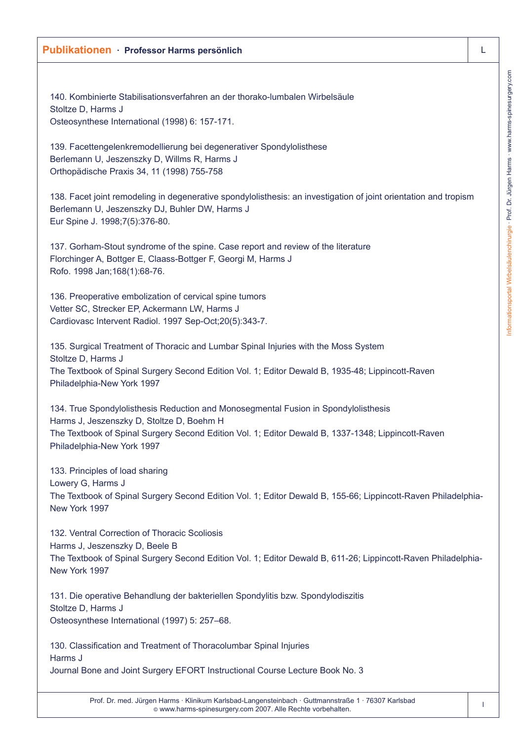# Informationsportal Wirbelsäulenchirurgie · Prof. Dr. Jürgen Harms · www.harms-spinesurgery.com Informationsportal Wirbelsäulenchirurgie · Prof. Dr. Jürgen Harms · www.harms-spinesurgery.com

### **Publikationen · Professor Harms persönlich** L

140. Kombinierte Stabilisationsverfahren an der thorako-lumbalen Wirbelsäule Stoltze D, Harms J Osteosynthese International (1998) 6: 157-171.

139. Facettengelenkremodellierung bei degenerativer Spondylolisthese Berlemann U, Jeszenszky D, Willms R, Harms J Orthopädische Praxis 34, 11 (1998) 755-758

138. Facet joint remodeling in degenerative spondylolisthesis: an investigation of joint orientation and tropism Berlemann U, Jeszenszky DJ, Buhler DW, Harms J Eur Spine J. 1998;7(5):376-80.

137. Gorham-Stout syndrome of the spine. Case report and review of the literature Florchinger A, Bottger E, Claass-Bottger F, Georgi M, Harms J Rofo. 1998 Jan;168(1):68-76.

136. Preoperative embolization of cervical spine tumors Vetter SC, Strecker EP, Ackermann LW, Harms J Cardiovasc Intervent Radiol. 1997 Sep-Oct;20(5):343-7.

135. Surgical Treatment of Thoracic and Lumbar Spinal Injuries with the Moss System Stoltze D, Harms J The Textbook of Spinal Surgery Second Edition Vol. 1; Editor Dewald B, 1935-48; Lippincott-Raven Philadelphia-New York 1997

134. True Spondylolisthesis Reduction and Monosegmental Fusion in Spondylolisthesis Harms J, Jeszenszky D, Stoltze D, Boehm H The Textbook of Spinal Surgery Second Edition Vol. 1; Editor Dewald B, 1337-1348; Lippincott-Raven Philadelphia-New York 1997

133. Principles of load sharing Lowery G, Harms J The Textbook of Spinal Surgery Second Edition Vol. 1; Editor Dewald B, 155-66; Lippincott-Raven Philadelphia-New York 1997

132. Ventral Correction of Thoracic Scoliosis Harms J, Jeszenszky D, Beele B The Textbook of Spinal Surgery Second Edition Vol. 1; Editor Dewald B, 611-26; Lippincott-Raven Philadelphia-New York 1997

131. Die operative Behandlung der bakteriellen Spondylitis bzw. Spondylodiszitis Stoltze D, Harms J Osteosynthese International (1997) 5: 257–68.

130. Classification and Treatment of Thoracolumbar Spinal Injuries Harms J Journal Bone and Joint Surgery EFORT Instructional Course Lecture Book No. 3

> Prof. Dr. med. Jürgen Harms · Klinikum Karlsbad-Langensteinbach · Guttmannstraße 1 · 76307 Karlsbad © www.harms-spinesurgery.com 2007. Alle Rechte vorbehalten.

l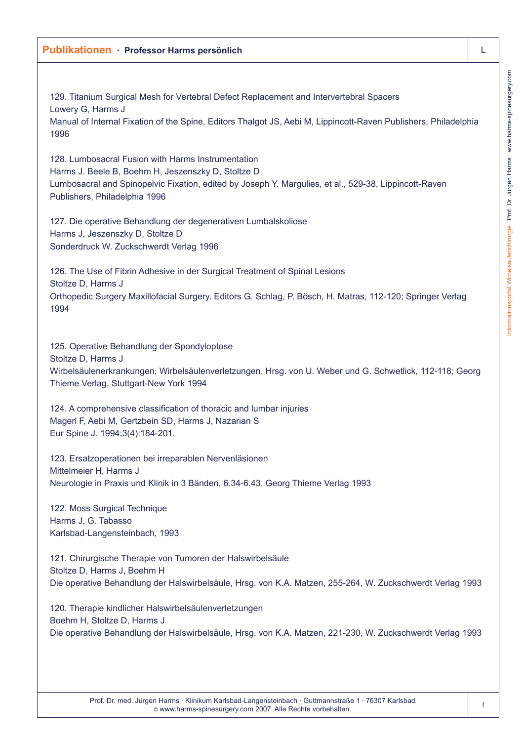129. Titanium Surgical Mesh for Vertebral Defect Replacement and Intervertebral Spacers Lowery G, Harms J Manual of Internal Fixation of the Spine, Editors Thalgot JS, Aebi M, Lippincott-Raven Publishers, Philadelphia 1996

128. Lumbosacral Fusion with Harms Instrumentation Harms J. Beele B, Boehm H, Jeszenszky D, Stoltze D Lumbosacral and Spinopelvic Fixation, edited by Joseph Y. Margulies, et al., 529-38, Lippincott-Raven Publishers, Philadelphia 1996

127. Die operative Behandlung der degenerativen Lumbalskoliose Harms J, Jeszenszky D, Stoltze D Sonderdruck W. Zuckschwerdt Verlag 1996

126. The Use of Fibrin Adhesive in der Surgical Treatment of Spinal Lesions Stoltze D, Harms J Orthopedic Surgery Maxillofacial Surgery, Editors G. Schlag, P. Bösch, H. Matras, 112-120; Springer Verlag 1994

125. Operative Behandlung der Spondyloptose Stoltze D, Harms J Wirbelsäulenerkrankungen, Wirbelsäulenverletzungen, Hrsg. von U. Weber und G. Schwetlick, 112-118; Georg Thieme Verlag, Stuttgart-New York 1994

124. A comprehensive classification of thoracic and lumbar injuries Magerl F, Aebi M, Gertzbein SD, Harms J, Nazarian S Eur Spine J. 1994;3(4):184-201.

123. Ersatzoperationen bei irreparablen Nervenläsionen Mittelmeier H, Harms J Neurologie in Praxis und Klinik in 3 Bänden, 6.34-6.43, Georg Thieme Verlag 1993

122. Moss Surgical Technique Harms J, G. Tabasso Karlsbad-Langensteinbach, 1993

121. Chirurgische Therapie von Tumoren der Halswirbelsäule Stoltze D, Harms J, Boehm H Die operative Behandlung der Halswirbelsäule, Hrsg. von K.A. Matzen, 255-264, W. Zuckschwerdt Verlag 1993

120. Therapie kindlicher Halswirbelsäulenverletzungen Boehm H, Stoltze D, Harms J Die operative Behandlung der Halswirbelsäule, Hrsg. von K.A. Matzen, 221-230, W. Zuckschwerdt Verlag 1993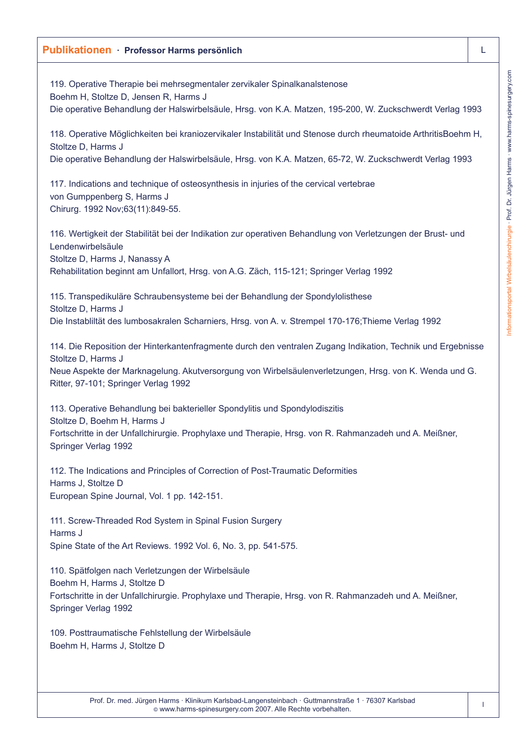119. Operative Therapie bei mehrsegmentaler zervikaler Spinalkanalstenose Boehm H, Stoltze D, Jensen R, Harms J Die operative Behandlung der Halswirbelsäule, Hrsg. von K.A. Matzen, 195-200, W. Zuckschwerdt Verlag 1993 118. Operative Möglichkeiten bei kraniozervikaler Instabilität und Stenose durch rheumatoide ArthritisBoehm H, Stoltze D, Harms J Die operative Behandlung der Halswirbelsäule, Hrsg. von K.A. Matzen, 65-72, W. Zuckschwerdt Verlag 1993 117. Indications and technique of osteosynthesis in injuries of the cervical vertebrae von Gumppenberg S, Harms J Chirurg. 1992 Nov;63(11):849-55. 116. Wertigkeit der Stabilität bei der Indikation zur operativen Behandlung von Verletzungen der Brust- und Lendenwirbelsäule Stoltze D, Harms J, Nanassy A Rehabilitation beginnt am Unfallort, Hrsg. von A.G. Zäch, 115-121; Springer Verlag 1992 115. Transpedikuläre Schraubensysteme bei der Behandlung der Spondylolisthese Stoltze D, Harms J Die Instabliltät des lumbosakralen Scharniers, Hrsg. von A. v. Strempel 170-176;Thieme Verlag 1992 114. Die Reposition der Hinterkantenfragmente durch den ventralen Zugang Indikation, Technik und Ergebnisse Stoltze D, Harms J Neue Aspekte der Marknagelung. Akutversorgung von Wirbelsäulenverletzungen, Hrsg. von K. Wenda und G. Ritter, 97-101; Springer Verlag 1992 113. Operative Behandlung bei bakterieller Spondylitis und Spondylodiszitis Stoltze D, Boehm H, Harms J Fortschritte in der Unfallchirurgie. Prophylaxe und Therapie, Hrsg. von R. Rahmanzadeh und A. Meißner, Springer Verlag 1992

112. The Indications and Principles of Correction of Post-Traumatic Deformities Harms J, Stoltze D European Spine Journal, Vol. 1 pp. 142-151.

111. Screw-Threaded Rod System in Spinal Fusion Surgery Harms J Spine State of the Art Reviews. 1992 Vol. 6, No. 3, pp. 541-575.

110. Spätfolgen nach Verletzungen der Wirbelsäule Boehm H, Harms J, Stoltze D Fortschritte in der Unfallchirurgie. Prophylaxe und Therapie, Hrsg. von R. Rahmanzadeh und A. Meißner, Springer Verlag 1992

109. Posttraumatische Fehlstellung der Wirbelsäule Boehm H, Harms J, Stoltze D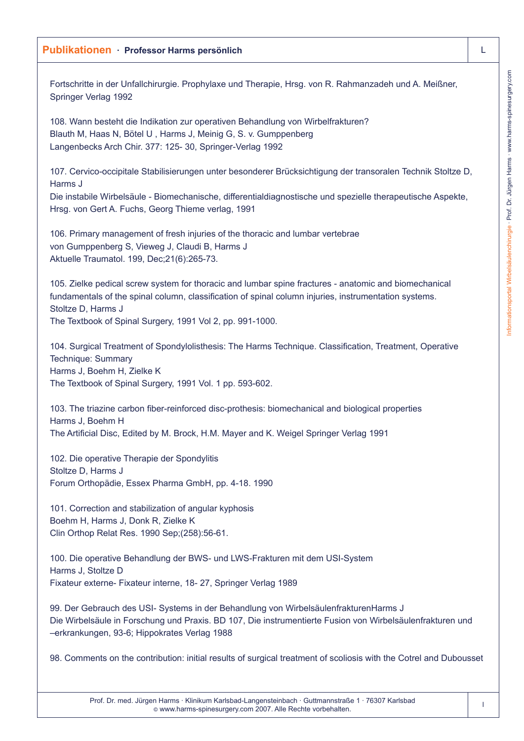Fortschritte in der Unfallchirurgie. Prophylaxe und Therapie, Hrsg. von R. Rahmanzadeh und A. Meißner, Springer Verlag 1992

108. Wann besteht die Indikation zur operativen Behandlung von Wirbelfrakturen? Blauth M, Haas N, Bötel U , Harms J, Meinig G, S. v. Gumppenberg Langenbecks Arch Chir. 377: 125- 30, Springer-Verlag 1992

107. Cervico-occipitale Stabilisierungen unter besonderer Brücksichtigung der transoralen Technik Stoltze D, Harms J

Die instabile Wirbelsäule - Biomechanische, differentialdiagnostische und spezielle therapeutische Aspekte, Hrsg. von Gert A. Fuchs, Georg Thieme verlag, 1991

106. Primary management of fresh injuries of the thoracic and lumbar vertebrae von Gumppenberg S, Vieweg J, Claudi B, Harms J Aktuelle Traumatol. 199, Dec;21(6):265-73.

105. Zielke pedical screw system for thoracic and lumbar spine fractures - anatomic and biomechanical fundamentals of the spinal column, classification of spinal column injuries, instrumentation systems. Stoltze D, Harms J The Textbook of Spinal Surgery, 1991 Vol 2, pp. 991-1000.

104. Surgical Treatment of Spondylolisthesis: The Harms Technique. Classification, Treatment, Operative Technique: Summary Harms J, Boehm H, Zielke K The Textbook of Spinal Surgery, 1991 Vol. 1 pp. 593-602.

103. The triazine carbon fiber-reinforced disc-prothesis: biomechanical and biological properties Harms J, Boehm H The Artificial Disc, Edited by M. Brock, H.M. Mayer and K. Weigel Springer Verlag 1991

102. Die operative Therapie der Spondylitis Stoltze D, Harms J Forum Orthopädie, Essex Pharma GmbH, pp. 4-18. 1990

101. Correction and stabilization of angular kyphosis Boehm H, Harms J, Donk R, Zielke K Clin Orthop Relat Res. 1990 Sep;(258):56-61.

100. Die operative Behandlung der BWS- und LWS-Frakturen mit dem USI-System Harms J, Stoltze D Fixateur externe- Fixateur interne, 18- 27, Springer Verlag 1989

99. Der Gebrauch des USI- Systems in der Behandlung von WirbelsäulenfrakturenHarms J Die Wirbelsäule in Forschung und Praxis. BD 107, Die instrumentierte Fusion von Wirbelsäulenfrakturen und –erkrankungen, 93-6; Hippokrates Verlag 1988

98. Comments on the contribution: initial results of surgical treatment of scoliosis with the Cotrel and Dubousset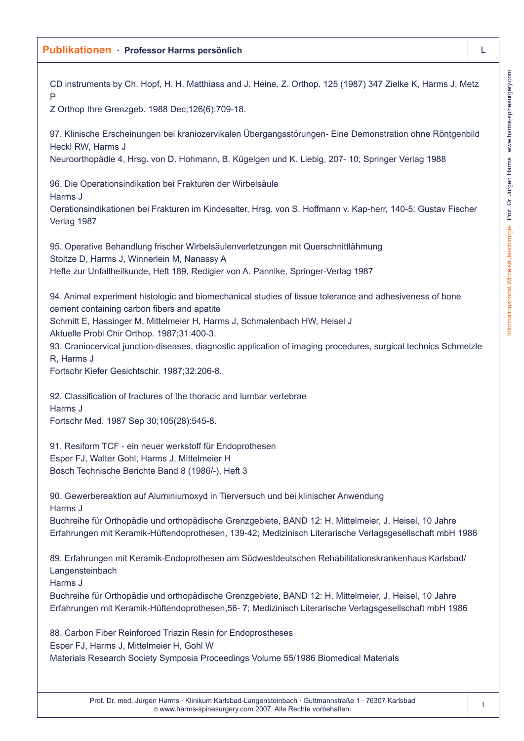CD instruments by Ch. Hopf, H. H. Matthiass and J. Heine. Z. Orthop. 125 (1987) 347 Zielke K, Harms J, Metz  $\Box$ Z Orthop Ihre Grenzgeb. 1988 Dec;126(6):709-18. 97. Klinische Erscheinungen bei kraniozervikalen Übergangsstörungen- Eine Demonstration ohne Röntgenbild Heckl RW, Harms J Neuroorthopädie 4, Hrsg. von D. Hohmann, B. Kügelgen und K. Liebig, 207- 10; Springer Verlag 1988 96. Die Operationsindikation bei Frakturen der Wirbelsäule Harms J Oerationsindikationen bei Frakturen im Kindesalter, Hrsg. von S. Hoffmann v. Kap-herr, 140-5; Gustav Fischer Verlag 1987 95. Operative Behandlung frischer Wirbelsäulenverletzungen mit Querschnittlähmung Stoltze D, Harms J, Winnerlein M, Nanassy A Hefte zur Unfallheilkunde, Heft 189, Redigier von A. Pannike, Springer-Verlag 1987 94. Animal experiment histologic and biomechanical studies of tissue tolerance and adhesiveness of bone cement containing carbon fibers and apatite Schmitt E, Hassinger M, Mittelmeier H, Harms J, Schmalenbach HW, Heisel J Aktuelle Probl Chir Orthop. 1987;31:400-3. 93. Craniocervical junction-diseases, diagnostic application of imaging procedures, surgical technics Schmelzle R, Harms J Fortschr Kiefer Gesichtschir. 1987;32:206-8. 92. Classification of fractures of the thoracic and lumbar vertebrae Harms J Fortschr Med. 1987 Sep 30;105(28):545-8. 91. Resiform TCF - ein neuer werkstoff für Endoprothesen Esper FJ, Walter Gohl, Harms J, Mittelmeier H Bosch Technische Berichte Band 8 (1986/-), Heft 3 90. Gewerbereaktion auf Aluminiumoxyd in Tierversuch und bei klinischer Anwendung Harms J Buchreihe für Orthopädie und orthopädische Grenzgebiete, BAND 12: H. Mittelmeier, J. Heisel, 10 Jahre Erfahrungen mit Keramik-Hüftendoprothesen, 139-42; Medizinisch Literarische Verlagsgesellschaft mbH 1986 89. Erfahrungen mit Keramik-Endoprothesen am Südwestdeutschen Rehabilitationskrankenhaus Karlsbad/ Langensteinbach Harms J Buchreihe für Orthopädie und orthopädische Grenzgebiete, BAND 12: H. Mittelmeier, J. Heisel, 10 Jahre Erfahrungen mit Keramik-Hüftendoprothesen,56- 7; Medizinisch Literarische Verlagsgesellschaft mbH 1986 88. Carbon Fiber Reinforced Triazin Resin for Endoprostheses Esper FJ, Harms J, Mittelmeier H, Gohl W Materials Research Society Symposia Proceedings Volume 55/1986 Biomedical Materials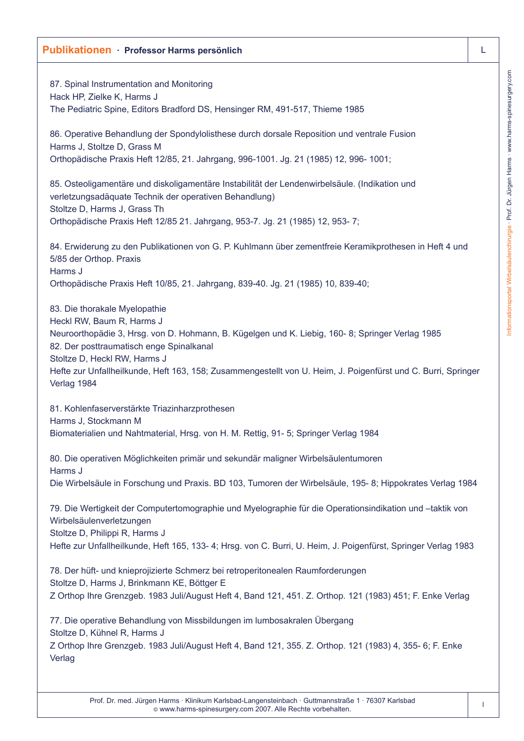# Informationsportal Wirbelsäulenchirurgie · Prof. Dr. Jürgen Harms · www.harms-spinesurgery.com Informationsportal Wirbelsäulenchirurgie · Prof. Dr. Jürgen Harms · www.harms-spinesurgery.com

### **Publikationen · Professor Harms persönlich** L

87. Spinal Instrumentation and Monitoring Hack HP, Zielke K, Harms J The Pediatric Spine, Editors Bradford DS, Hensinger RM, 491-517, Thieme 1985

86. Operative Behandlung der Spondylolisthese durch dorsale Reposition und ventrale Fusion Harms J, Stoltze D, Grass M Orthopädische Praxis Heft 12/85, 21. Jahrgang, 996-1001. Jg. 21 (1985) 12, 996- 1001;

85. Osteoligamentäre und diskoligamentäre Instabilität der Lendenwirbelsäule. (Indikation und verletzungsadäquate Technik der operativen Behandlung) Stoltze D, Harms J, Grass Th Orthopädische Praxis Heft 12/85 21. Jahrgang, 953-7. Jg. 21 (1985) 12, 953- 7;

84. Erwiderung zu den Publikationen von G. P. Kuhlmann über zementfreie Keramikprothesen in Heft 4 und 5/85 der Orthop. Praxis Harms J Orthopädische Praxis Heft 10/85, 21. Jahrgang, 839-40. Jg. 21 (1985) 10, 839-40;

83. Die thorakale Myelopathie Heckl RW, Baum R, Harms J Neuroorthopädie 3, Hrsg. von D. Hohmann, B. Kügelgen und K. Liebig, 160- 8; Springer Verlag 1985 82. Der posttraumatisch enge Spinalkanal Stoltze D, Heckl RW, Harms J Hefte zur Unfallheilkunde, Heft 163, 158; Zusammengestellt von U. Heim, J. Poigenfürst und C. Burri, Springer Verlag 1984

81. Kohlenfaserverstärkte Triazinharzprothesen Harms J, Stockmann M Biomaterialien und Nahtmaterial, Hrsg. von H. M. Rettig, 91- 5; Springer Verlag 1984

80. Die operativen Möglichkeiten primär und sekundär maligner Wirbelsäulentumoren Harms J Die Wirbelsäule in Forschung und Praxis. BD 103, Tumoren der Wirbelsäule, 195- 8; Hippokrates Verlag 1984

79. Die Wertigkeit der Computertomographie und Myelographie für die Operationsindikation und –taktik von Wirbelsäulenverletzungen

Stoltze D, Philippi R, Harms J

Hefte zur Unfallheilkunde, Heft 165, 133- 4; Hrsg. von C. Burri, U. Heim, J. Poigenfürst, Springer Verlag 1983

78. Der hüft- und knieprojizierte Schmerz bei retroperitonealen Raumforderungen Stoltze D, Harms J, Brinkmann KE, Böttger E Z Orthop Ihre Grenzgeb. 1983 Juli/August Heft 4, Band 121, 451. Z. Orthop. 121 (1983) 451; F. Enke Verlag

77. Die operative Behandlung von Missbildungen im lumbosakralen Übergang Stoltze D, Kühnel R, Harms J Z Orthop Ihre Grenzgeb. 1983 Juli/August Heft 4, Band 121, 355. Z. Orthop. 121 (1983) 4, 355- 6; F. Enke Verlag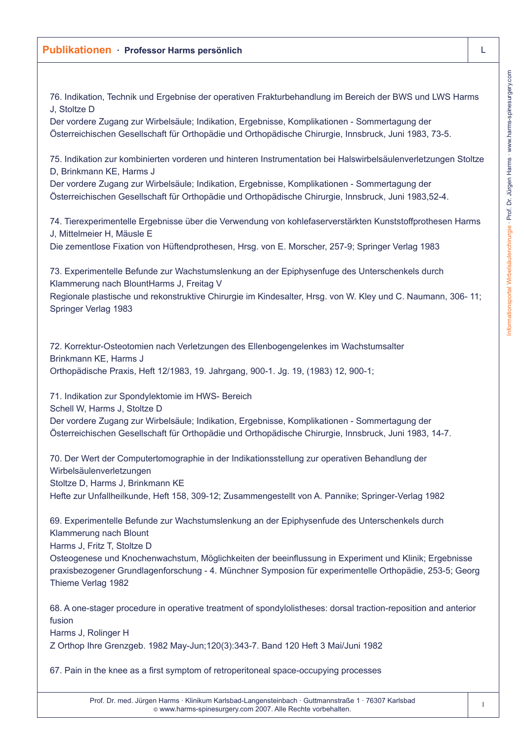76. Indikation, Technik und Ergebnise der operativen Frakturbehandlung im Bereich der BWS und LWS Harms J, Stoltze D

Der vordere Zugang zur Wirbelsäule; Indikation, Ergebnisse, Komplikationen - Sommertagung der Österreichischen Gesellschaft für Orthopädie und Orthopädische Chirurgie, Innsbruck, Juni 1983, 73-5.

75. Indikation zur kombinierten vorderen und hinteren Instrumentation bei Halswirbelsäulenverletzungen Stoltze D, Brinkmann KE, Harms J

Der vordere Zugang zur Wirbelsäule; Indikation, Ergebnisse, Komplikationen - Sommertagung der Österreichischen Gesellschaft für Orthopädie und Orthopädische Chirurgie, Innsbruck, Juni 1983,52-4.

74. Tierexperimentelle Ergebnisse über die Verwendung von kohlefaserverstärkten Kunststoffprothesen Harms J, Mittelmeier H, Mäusle E

Die zementlose Fixation von Hüftendprothesen, Hrsg. von E. Morscher, 257-9; Springer Verlag 1983

73. Experimentelle Befunde zur Wachstumslenkung an der Epiphysenfuge des Unterschenkels durch Klammerung nach BlountHarms J, Freitag V

Regionale plastische und rekonstruktive Chirurgie im Kindesalter, Hrsg. von W. Kley und C. Naumann, 306- 11; Springer Verlag 1983

72. Korrektur-Osteotomien nach Verletzungen des Ellenbogengelenkes im Wachstumsalter Brinkmann KE, Harms J Orthopädische Praxis, Heft 12/1983, 19. Jahrgang, 900-1. Jg. 19, (1983) 12, 900-1;

71. Indikation zur Spondylektomie im HWS- Bereich

Schell W, Harms J, Stoltze D

Der vordere Zugang zur Wirbelsäule; Indikation, Ergebnisse, Komplikationen - Sommertagung der Österreichischen Gesellschaft für Orthopädie und Orthopädische Chirurgie, Innsbruck, Juni 1983, 14-7.

70. Der Wert der Computertomographie in der Indikationsstellung zur operativen Behandlung der Wirbelsäulenverletzungen Stoltze D, Harms J, Brinkmann KE Hefte zur Unfallheilkunde, Heft 158, 309-12; Zusammengestellt von A. Pannike; Springer-Verlag 1982

69. Experimentelle Befunde zur Wachstumslenkung an der Epiphysenfude des Unterschenkels durch Klammerung nach Blount

Harms J, Fritz T, Stoltze D

Osteogenese und Knochenwachstum, Möglichkeiten der beeinflussung in Experiment und Klinik; Ergebnisse praxisbezogener Grundlagenforschung - 4. Münchner Symposion für experimentelle Orthopädie, 253-5; Georg Thieme Verlag 1982

68. A one-stager procedure in operative treatment of spondylolistheses: dorsal traction-reposition and anterior fusion

Harms J, Rolinger H

Z Orthop Ihre Grenzgeb. 1982 May-Jun;120(3):343-7. Band 120 Heft 3 Mai/Juni 1982

67. Pain in the knee as a first symptom of retroperitoneal space-occupying processes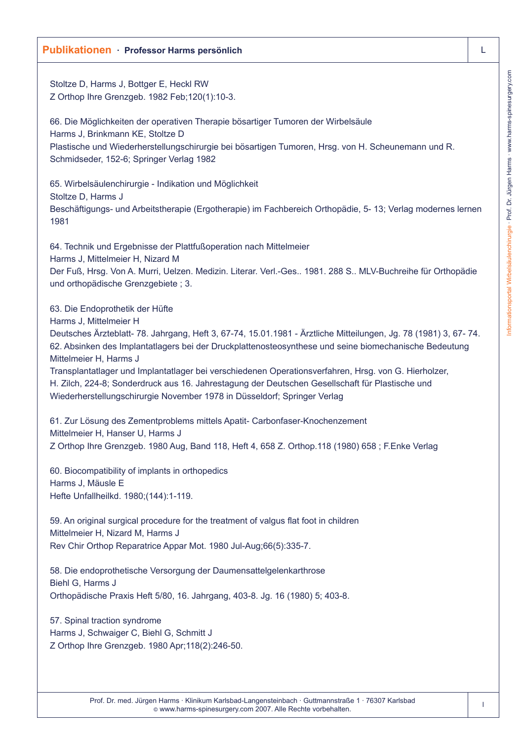Stoltze D, Harms J, Bottger E, Heckl RW Z Orthop Ihre Grenzgeb. 1982 Feb;120(1):10-3.

66. Die Möglichkeiten der operativen Therapie bösartiger Tumoren der Wirbelsäule Harms J, Brinkmann KE, Stoltze D Plastische und Wiederherstellungschirurgie bei bösartigen Tumoren, Hrsg. von H. Scheunemann und R. Schmidseder, 152-6; Springer Verlag 1982

65. Wirbelsäulenchirurgie - Indikation und Möglichkeit Stoltze D, Harms J Beschäftigungs- und Arbeitstherapie (Ergotherapie) im Fachbereich Orthopädie, 5- 13; Verlag modernes lernen 1981

64. Technik und Ergebnisse der Plattfußoperation nach Mittelmeier Harms J, Mittelmeier H, Nizard M Der Fuß, Hrsg. Von A. Murri, Uelzen. Medizin. Literar. Verl.-Ges.. 1981. 288 S.. MLV-Buchreihe für Orthopädie und orthopädische Grenzgebiete ; 3.

63. Die Endoprothetik der Hüfte

Harms J, Mittelmeier H

Deutsches Ärzteblatt- 78. Jahrgang, Heft 3, 67-74, 15.01.1981 - Ärztliche Mitteilungen, Jg. 78 (1981) 3, 67- 74. 62. Absinken des Implantatlagers bei der Druckplattenosteosynthese und seine biomechanische Bedeutung Mittelmeier H, Harms J

Transplantatlager und Implantatlager bei verschiedenen Operationsverfahren, Hrsg. von G. Hierholzer, H. Zilch, 224-8; Sonderdruck aus 16. Jahrestagung der Deutschen Gesellschaft für Plastische und Wiederherstellungschirurgie November 1978 in Düsseldorf; Springer Verlag

61. Zur Lösung des Zementproblems mittels Apatit- Carbonfaser-Knochenzement Mittelmeier H, Hanser U, Harms J Z Orthop Ihre Grenzgeb. 1980 Aug, Band 118, Heft 4, 658 Z. Orthop.118 (1980) 658 ; F.Enke Verlag

60. Biocompatibility of implants in orthopedics Harms J, Mäusle E Hefte Unfallheilkd. 1980;(144):1-119.

59. An original surgical procedure for the treatment of valgus flat foot in children Mittelmeier H, Nizard M, Harms J Rev Chir Orthop Reparatrice Appar Mot. 1980 Jul-Aug;66(5):335-7.

58. Die endoprothetische Versorgung der Daumensattelgelenkarthrose Biehl G, Harms J Orthopädische Praxis Heft 5/80, 16. Jahrgang, 403-8. Jg. 16 (1980) 5; 403-8.

57. Spinal traction syndrome Harms J, Schwaiger C, Biehl G, Schmitt J Z Orthop Ihre Grenzgeb. 1980 Apr;118(2):246-50.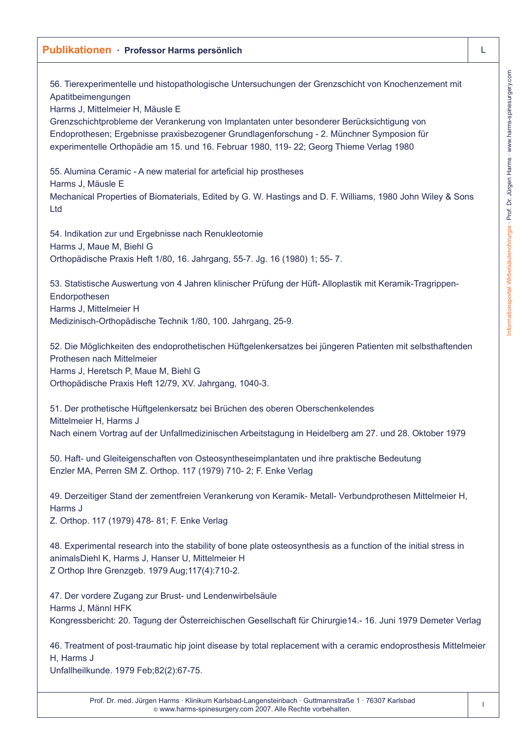56. Tierexperimentelle und histopathologische Untersuchungen der Grenzschicht von Knochenzement mit Apatitbeimengungen

Harms J, Mittelmeier H, Mäusle E

Grenzschichtprobleme der Verankerung von Implantaten unter besonderer Berücksichtigung von Endoprothesen; Ergebnisse praxisbezogener Grundlagenforschung - 2. Münchner Symposion für experimentelle Orthopädie am 15. und 16. Februar 1980, 119- 22; Georg Thieme Verlag 1980

55. Alumina Ceramic - A new material for arteficial hip prostheses Harms J, Mäusle E Mechanical Properties of Biomaterials, Edited by G. W. Hastings and D. F. Williams, 1980 John Wiley & Sons Ltd

54. Indikation zur und Ergebnisse nach Renukleotomie Harms J, Maue M, Biehl G Orthopädische Praxis Heft 1/80, 16. Jahrgang, 55-7. Jg. 16 (1980) 1; 55- 7.

53. Statistische Auswertung von 4 Jahren klinischer Prüfung der Hüft- Alloplastik mit Keramik-Tragrippen-Endorpothesen Harms J, Mittelmeier H Medizinisch-Orthopädische Technik 1/80, 100. Jahrgang, 25-9.

52. Die Möglichkeiten des endoprothetischen Hüftgelenkersatzes bei jüngeren Patienten mit selbsthaftenden Prothesen nach Mittelmeier Harms J, Heretsch P, Maue M, Biehl G Orthopädische Praxis Heft 12/79, XV. Jahrgang, 1040-3.

51. Der prothetische Hüftgelenkersatz bei Brüchen des oberen Oberschenkelendes Mittelmeier H, Harms J Nach einem Vortrag auf der Unfallmedizinischen Arbeitstagung in Heidelberg am 27. und 28. Oktober 1979

50. Haft- und Gleiteigenschaften von Osteosyntheseimplantaten und ihre praktische Bedeutung Enzler MA, Perren SM Z. Orthop. 117 (1979) 710- 2; F. Enke Verlag

49. Derzeitiger Stand der zementfreien Verankerung von Keramik- Metall- Verbundprothesen Mittelmeier H, Harms J

Z. Orthop. 117 (1979) 478- 81; F. Enke Verlag

48. Experimental research into the stability of bone plate osteosynthesis as a function of the initial stress in animalsDiehl K, Harms J, Hanser U, Mittelmeier H Z Orthop Ihre Grenzgeb. 1979 Aug;117(4):710-2.

47. Der vordere Zugang zur Brust- und Lendenwirbelsäule Harms J, Männl HFK Kongressbericht: 20. Tagung der Österreichischen Gesellschaft für Chirurgie14.- 16. Juni 1979 Demeter Verlag

46. Treatment of post-traumatic hip joint disease by total replacement with a ceramic endoprosthesis Mittelmeier H, Harms J

Unfallheilkunde. 1979 Feb;82(2):67-75.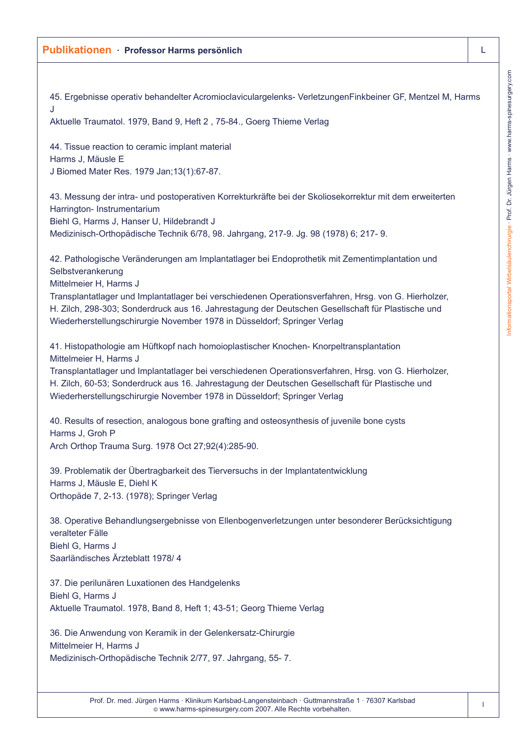45. Ergebnisse operativ behandelter Acromioclaviculargelenks- VerletzungenFinkbeiner GF, Mentzel M, Harms J Aktuelle Traumatol. 1979, Band 9, Heft 2 , 75-84., Goerg Thieme Verlag 44. Tissue reaction to ceramic implant material Harms J, Mäusle E J Biomed Mater Res. 1979 Jan;13(1):67-87. 43. Messung der intra- und postoperativen Korrekturkräfte bei der Skoliosekorrektur mit dem erweiterten Harrington- Instrumentarium Biehl G, Harms J, Hanser U, Hildebrandt J Medizinisch-Orthopädische Technik 6/78, 98. Jahrgang, 217-9. Jg. 98 (1978) 6; 217- 9. 42. Pathologische Veränderungen am Implantatlager bei Endoprothetik mit Zementimplantation und Selbstverankerung Mittelmeier H, Harms J Transplantatlager und Implantatlager bei verschiedenen Operationsverfahren, Hrsg. von G. Hierholzer, H. Zilch, 298-303; Sonderdruck aus 16. Jahrestagung der Deutschen Gesellschaft für Plastische und Wiederherstellungschirurgie November 1978 in Düsseldorf; Springer Verlag 41. Histopathologie am Hüftkopf nach homoioplastischer Knochen- Knorpeltransplantation Mittelmeier H, Harms J Transplantatlager und Implantatlager bei verschiedenen Operationsverfahren, Hrsg. von G. Hierholzer, H. Zilch, 60-53; Sonderdruck aus 16. Jahrestagung der Deutschen Gesellschaft für Plastische und Wiederherstellungschirurgie November 1978 in Düsseldorf; Springer Verlag 40. Results of resection, analogous bone grafting and osteosynthesis of juvenile bone cysts Harms J, Groh P Arch Orthop Trauma Surg. 1978 Oct 27;92(4):285-90. 39. Problematik der Übertragbarkeit des Tierversuchs in der Implantatentwicklung Harms J, Mäusle E, Diehl K Orthopäde 7, 2-13. (1978); Springer Verlag 38. Operative Behandlungsergebnisse von Ellenbogenverletzungen unter besonderer Berücksichtigung veralteter Fälle Biehl G, Harms J Saarländisches Ärzteblatt 1978/ 4 37. Die perilunären Luxationen des Handgelenks Biehl G, Harms J Aktuelle Traumatol. 1978, Band 8, Heft 1; 43-51; Georg Thieme Verlag 36. Die Anwendung von Keramik in der Gelenkersatz-Chirurgie Mittelmeier H, Harms J Medizinisch-Orthopädische Technik 2/77, 97. Jahrgang, 55- 7.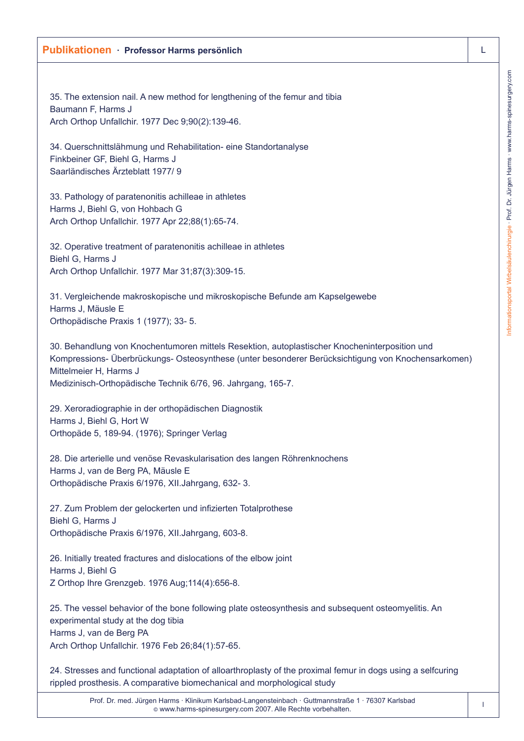35. The extension nail. A new method for lengthening of the femur and tibia Baumann F, Harms J Arch Orthop Unfallchir. 1977 Dec 9;90(2):139-46.

34. Querschnittslähmung und Rehabilitation- eine Standortanalyse Finkbeiner GF, Biehl G, Harms J Saarländisches Ärzteblatt 1977/ 9

33. Pathology of paratenonitis achilleae in athletes Harms J, Biehl G, von Hohbach G Arch Orthop Unfallchir. 1977 Apr 22;88(1):65-74.

32. Operative treatment of paratenonitis achilleae in athletes Biehl G, Harms J Arch Orthop Unfallchir. 1977 Mar 31;87(3):309-15.

31. Vergleichende makroskopische und mikroskopische Befunde am Kapselgewebe Harms J, Mäusle E Orthopädische Praxis 1 (1977); 33- 5.

30. Behandlung von Knochentumoren mittels Resektion, autoplastischer Knocheninterposition und Kompressions- Überbrückungs- Osteosynthese (unter besonderer Berücksichtigung von Knochensarkomen) Mittelmeier H, Harms J Medizinisch-Orthopädische Technik 6/76, 96. Jahrgang, 165-7.

29. Xeroradiographie in der orthopädischen Diagnostik Harms J, Biehl G, Hort W Orthopäde 5, 189-94. (1976); Springer Verlag

28. Die arterielle und venöse Revaskularisation des langen Röhrenknochens Harms J, van de Berg PA, Mäusle E Orthopädische Praxis 6/1976, XII.Jahrgang, 632- 3.

27. Zum Problem der gelockerten und infizierten Totalprothese Biehl G, Harms J Orthopädische Praxis 6/1976, XII.Jahrgang, 603-8.

26. Initially treated fractures and dislocations of the elbow joint Harms J, Biehl G Z Orthop Ihre Grenzgeb. 1976 Aug;114(4):656-8.

25. The vessel behavior of the bone following plate osteosynthesis and subsequent osteomyelitis. An experimental study at the dog tibia Harms J, van de Berg PA Arch Orthop Unfallchir. 1976 Feb 26;84(1):57-65.

24. Stresses and functional adaptation of alloarthroplasty of the proximal femur in dogs using a selfcuring rippled prosthesis. A comparative biomechanical and morphological study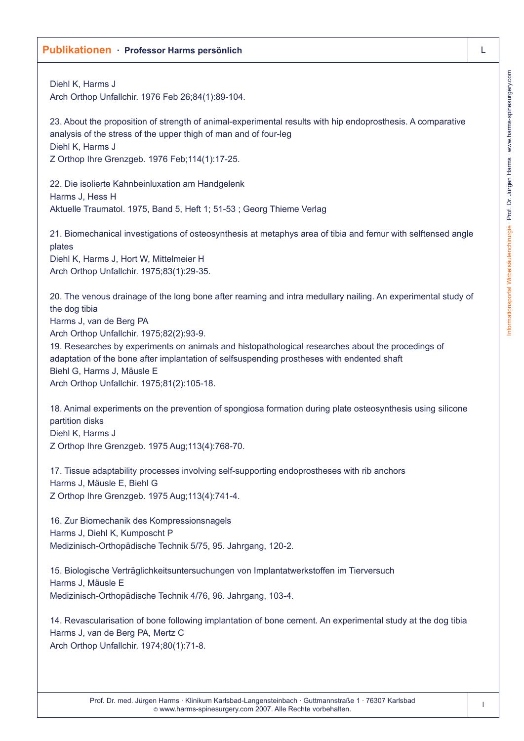# Informationsportal Wirbelsäulenchirurgie · Prof. Dr. Jürgen Harms · www.harms-spinesurgery.com Informationsportal Wirbelsäulenchirurgie · Prof. Dr. Jürgen Harms · www.harms-spinesurgery.com

## **Publikationen · Professor Harms persönlich** L

| Diehl K, Harms J<br>Arch Orthop Unfallchir. 1976 Feb 26;84(1):89-104.                                                                                                                                                                                                                                                                                                                                                                                                               |
|-------------------------------------------------------------------------------------------------------------------------------------------------------------------------------------------------------------------------------------------------------------------------------------------------------------------------------------------------------------------------------------------------------------------------------------------------------------------------------------|
| 23. About the proposition of strength of animal-experimental results with hip endoprosthesis. A comparative<br>analysis of the stress of the upper thigh of man and of four-leg<br>Diehl K, Harms J<br>Z Orthop Ihre Grenzgeb. 1976 Feb; 114(1): 17-25.                                                                                                                                                                                                                             |
| 22. Die isolierte Kahnbeinluxation am Handgelenk<br>Harms J, Hess H<br>Aktuelle Traumatol. 1975, Band 5, Heft 1; 51-53; Georg Thieme Verlag                                                                                                                                                                                                                                                                                                                                         |
| 21. Biomechanical investigations of osteosynthesis at metaphys area of tibia and femur with selftensed angle<br>plates<br>Diehl K, Harms J, Hort W, Mittelmeier H<br>Arch Orthop Unfallchir. 1975;83(1):29-35.                                                                                                                                                                                                                                                                      |
| 20. The venous drainage of the long bone after reaming and intra medullary nailing. An experimental study of<br>the dog tibia<br>Harms J, van de Berg PA<br>Arch Orthop Unfallchir. 1975;82(2):93-9.<br>19. Researches by experiments on animals and histopathological researches about the procedings of<br>adaptation of the bone after implantation of selfsuspending prostheses with endented shaft<br>Biehl G, Harms J, Mäusle E<br>Arch Orthop Unfallchir. 1975;81(2):105-18. |
| 18. Animal experiments on the prevention of spongiosa formation during plate osteosynthesis using silicone<br>partition disks<br>Diehl K, Harms J<br>Z Orthop Ihre Grenzgeb. 1975 Aug; 113(4): 768-70.                                                                                                                                                                                                                                                                              |
| 17. Tissue adaptability processes involving self-supporting endoprostheses with rib anchors<br>Harms J, Mäusle E, Biehl G<br>Z Orthop Ihre Grenzgeb. 1975 Aug; 113(4): 741-4.                                                                                                                                                                                                                                                                                                       |
| 16. Zur Biomechanik des Kompressionsnagels<br>Harms J, Diehl K, Kumposcht P<br>Medizinisch-Orthopädische Technik 5/75, 95. Jahrgang, 120-2.                                                                                                                                                                                                                                                                                                                                         |
| 15. Biologische Verträglichkeitsuntersuchungen von Implantatwerkstoffen im Tierversuch<br>Harms J, Mäusle E<br>Medizinisch-Orthopädische Technik 4/76, 96. Jahrgang, 103-4.                                                                                                                                                                                                                                                                                                         |
| 14. Revascularisation of bone following implantation of bone cement. An experimental study at the dog tibia<br>Harms J, van de Berg PA, Mertz C<br>Arch Orthop Unfallchir. 1974;80(1):71-8.                                                                                                                                                                                                                                                                                         |
|                                                                                                                                                                                                                                                                                                                                                                                                                                                                                     |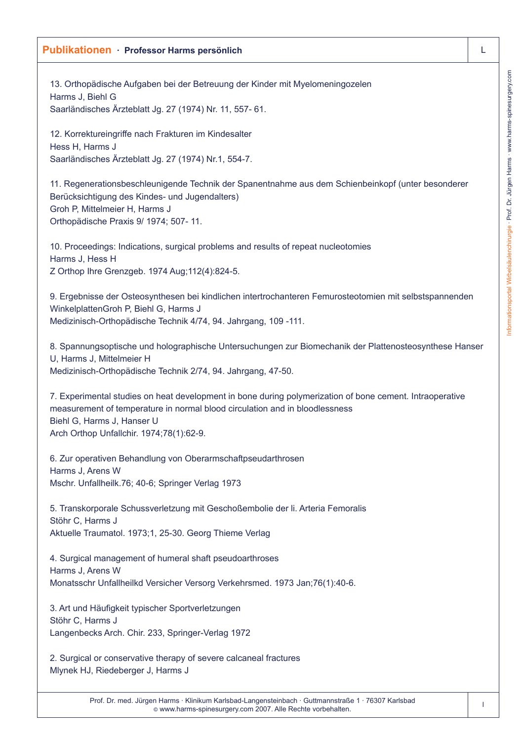# informationsportal Wirbelsäulenchirurgie · Prof. Dr. Jürgen Harms · www.harms-spinesurgery.com Informationsportal Wirbelsäulenchirurgie · Prof. Dr. Jürgen Harms · www.harms-spinesurgery.com

### **Publikationen · Professor Harms persönlich** L

13. Orthopädische Aufgaben bei der Betreuung der Kinder mit Myelomeningozelen Harms J, Biehl G Saarländisches Ärzteblatt Jg. 27 (1974) Nr. 11, 557- 61.

12. Korrektureingriffe nach Frakturen im Kindesalter Hess H, Harms J Saarländisches Ärzteblatt Jg. 27 (1974) Nr.1, 554-7.

11. Regenerationsbeschleunigende Technik der Spanentnahme aus dem Schienbeinkopf (unter besonderer Berücksichtigung des Kindes- und Jugendalters) Groh P, Mittelmeier H, Harms J Orthopädische Praxis 9/ 1974; 507- 11.

10. Proceedings: Indications, surgical problems and results of repeat nucleotomies Harms J, Hess H Z Orthop Ihre Grenzgeb. 1974 Aug;112(4):824-5.

9. Ergebnisse der Osteosynthesen bei kindlichen intertrochanteren Femurosteotomien mit selbstspannenden WinkelplattenGroh P, Biehl G, Harms J Medizinisch-Orthopädische Technik 4/74, 94. Jahrgang, 109 -111.

8. Spannungsoptische und holographische Untersuchungen zur Biomechanik der Plattenosteosynthese Hanser U, Harms J, Mittelmeier H Medizinisch-Orthopädische Technik 2/74, 94. Jahrgang, 47-50.

7. Experimental studies on heat development in bone during polymerization of bone cement. Intraoperative measurement of temperature in normal blood circulation and in bloodlessness Biehl G, Harms J, Hanser U Arch Orthop Unfallchir. 1974;78(1):62-9.

6. Zur operativen Behandlung von Oberarmschaftpseudarthrosen Harms J, Arens W Mschr. Unfallheilk.76; 40-6; Springer Verlag 1973

5. Transkorporale Schussverletzung mit Geschoßembolie der li. Arteria Femoralis Stöhr C, Harms J Aktuelle Traumatol. 1973;1, 25-30. Georg Thieme Verlag

4. Surgical management of humeral shaft pseudoarthroses Harms J, Arens W Monatsschr Unfallheilkd Versicher Versorg Verkehrsmed. 1973 Jan;76(1):40-6.

3. Art und Häufigkeit typischer Sportverletzungen Stöhr C, Harms J Langenbecks Arch. Chir. 233, Springer-Verlag 1972

2. Surgical or conservative therapy of severe calcaneal fractures Mlynek HJ, Riedeberger J, Harms J